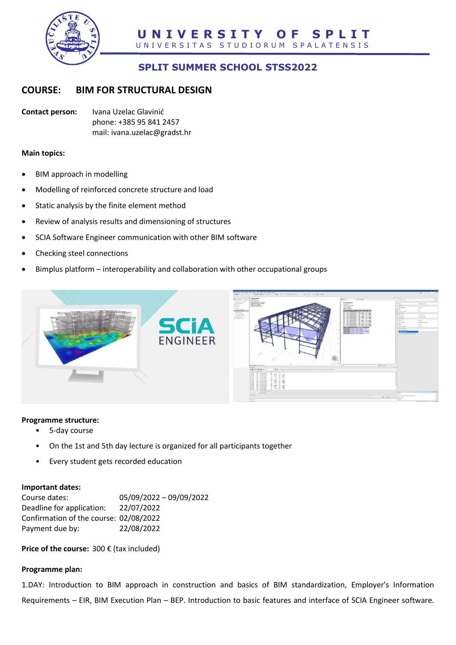

# **SPLIT SUMMER SCHOOL STSS2022**

## **COURSE: BIM FOR STRUCTURAL DESIGN**

**Contact person:** Ivana Uzelac Glavinić phone: +385 95 841 2457 mail: ivana.uzelac@gradst.hr

#### **Main topics:**

- BIM approach in modelling
- Modelling of reinforced concrete structure and load
- Static analysis by the finite element method
- Review of analysis results and dimensioning of structures
- SCIA Software Engineer communication with other BIM software
- Checking steel connections
- Bimplus platform interoperability and collaboration with other occupational groups



### **Programme structure:**

- 5-day course
- On the 1st and 5th day lecture is organized for all participants together
- Every student gets recorded education

### **Important dates:**

| Course dates:                          | 05/09/2022 - 09/09/2022 |
|----------------------------------------|-------------------------|
| Deadline for application:              | 22/07/2022              |
| Confirmation of the course: 02/08/2022 |                         |
| Payment due by:                        | 22/08/2022              |

**Price of the course:** 300 € (tax included)

### **Programme plan:**

1.DAY: Introduction to BIM approach in construction and basics of BIM standardization, Employer's Information Requirements – EIR, BIM Execution Plan – BEP. Introduction to basic features and interface of SCIA Engineer software.